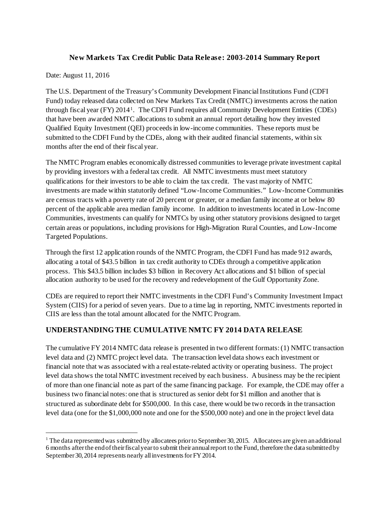### **New Markets Tax Credit Public Data Release: 2003-2014 Summary Report**

#### Date: August 11, 2016

l

The U.S. Department of the Treasury's Community Development Financial Institutions Fund (CDFI Fund) today released data collected on New Markets Tax Credit (NMTC) investments across the nation through fiscal year (FY) 2014[1](#page-0-0). The CDFI Fund requires all Community Development Entities (CDEs) that have been awarded NMTC allocations to submit an annual report detailing how they invested Qualified Equity Investment (QEI) proceeds in low-income communities. These reports must be submitted to the CDFI Fund by the CDEs, along with their audited financial statements, within six months after the end of their fiscal year.

The NMTC Program enables economically distressed communities to leverage private investment capital by providing investors with a federal tax credit. All NMTC investments must meet statutory qualifications for their investors to be able to claim the tax credit. The vast majority of NMTC investments are made within statutorily defined "Low-Income Communities." Low-Income Communities are census tracts with a poverty rate of 20 percent or greater, or a median family income at or below 80 percent of the applicable area median family income. In addition to investments located in Low-Income Communities, investments can qualify for NMTCs by using other statutory provisions designed to target certain areas or populations, including provisions for High-Migration Rural Counties, and Low-Income Targeted Populations.

Through the first 12 application rounds of the NMTC Program, the CDFI Fund has made 912 awards, allocating a total of \$43.5 billion in tax credit authority to CDEs through a competitive application process. This \$43.5 billion includes \$3 billion in Recovery Act allocations and \$1 billion of special allocation authority to be used for the recovery and redevelopment of the Gulf Opportunity Zone.

CDEs are required to report their NMTC investments in the CDFI Fund's Community Investment Impact System (CIIS) for a period of seven years. Due to a time lag in reporting, NMTC investments reported in CIIS are less than the total amount allocated for the NMTC Program.

# **UNDERSTANDING THE CUMULATIVE NMTC FY 2014 DATA RELEASE**

The cumulative FY 2014 NMTC data release is presented in two different formats: (1) NMTC transaction level data and (2) NMTC project level data. The transaction level data shows each investment or financial note that was associated with a real estate-related activity or operating business. The project level data shows the total NMTC investment received by each business. A business may be the recipient of more than one financial note as part of the same financing package. For example, the CDE may offer a business two financial notes: one that is structured as senior debt for \$1 million and another that is structured as subordinate debt for \$500,000. In this case, there would be two records in the transaction level data (one for the \$1,000,000 note and one for the \$500,000 note) and one in the project level data

<span id="page-0-0"></span><sup>&</sup>lt;sup>1</sup> The data represented was submitted by allocatees prior to September 30, 2015. Allocatees are given an additional 6 months after the end of their fiscal year to submit their annual report to the Fund, therefore the data submitted by September 30, 2014 represents nearly all investments for FY 2014.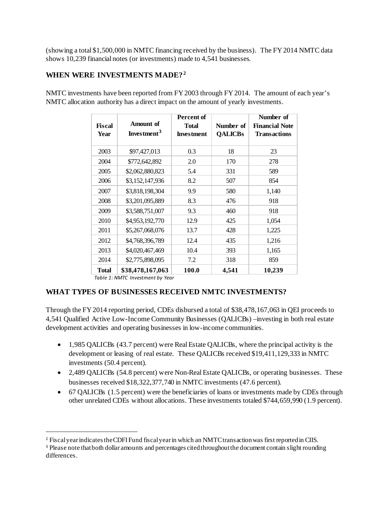(showing a total \$1,500,000 in NMTC financing received by the business). The FY 2014 NMTC data shows 10,239 financial notes (or investments) made to 4,541 businesses.

# **WHEN WERE INVESTMENTS MADE?[2](#page-1-0)**

| <b>Fiscal</b><br>Year | <b>Amount</b> of<br>Investment <sup>3</sup> | Percent of<br><b>Total</b><br><b>Investment</b> | Number of<br><b>QALICBs</b> | Number of<br><b>Financial Note</b><br><b>Transactions</b> |
|-----------------------|---------------------------------------------|-------------------------------------------------|-----------------------------|-----------------------------------------------------------|
| 2003                  | \$97,427,013                                | 0.3                                             | 18                          | 23                                                        |
| 2004                  | \$772,642,892                               | 2.0                                             | 170                         | 278                                                       |
| 2005                  | \$2,062,880,823                             | 5.4                                             | 331                         | 589                                                       |
| 2006                  | \$3,152,147,936                             | 8.2                                             | 507                         | 854                                                       |
| 2007                  | \$3,818,198,304                             | 9.9                                             | 580                         | 1,140                                                     |
| 2008                  | \$3,201,095,889                             | 8.3                                             | 476                         | 918                                                       |
| 2009                  | \$3,588,751,007                             | 9.3                                             | 460                         | 918                                                       |
| 2010                  | \$4,953,192,770                             | 12.9                                            | 425                         | 1,054                                                     |
| 2011                  | \$5,267,068,076                             | 13.7                                            | 428                         | 1,225                                                     |
| 2012                  | \$4,768,396,789                             | 12.4                                            | 435                         | 1,216                                                     |
| 2013                  | \$4,020,467,469                             | 10.4                                            | 393                         | 1,165                                                     |
| 2014                  | \$2,775,898,095                             | 7.2                                             | 318                         | 859                                                       |
| <b>Total</b>          | \$38,478,167,063                            | 100.0                                           | 4,541                       | 10,239                                                    |

NMTC investments have been reported from FY 2003 through FY 2014. The amount of each year's NMTC allocation authority has a direct impact on the amount of yearly investments.

 *Table 1: NMTC Investment by Year*

# **WHAT TYPES OF BUSINESSES RECEIVED NMTC INVESTMENTS?**

Through the FY 2014 reporting period, CDEs disbursed a total of \$38,478,167,063 in QEI proceeds to 4,541 Qualified Active Low-Income Community Businesses (QALICBs) –investing in both real estate development activities and operating businesses in low-income communities.

- 1,985 OALICBs (43.7 percent) were Real Estate OALICBs, where the principal activity is the development or leasing of real estate. These QALICBs received \$19,411,129,333 in NMTC investments (50.4 percent).
- 2,489 QALICBs (54.8 percent) were Non-Real Estate QALICBs, or operating businesses. These businesses received \$18,322,377,740 in NMTC investments (47.6 percent).
- 67 QALICBs (1.5 percent) were the beneficiaries of loans or investments made by CDEs through other unrelated CDEs without allocations. These investments totaled \$744,659,990 (1.9 percent).

<span id="page-1-0"></span> <sup>2</sup> Fiscal year indicates the CDFI Fund fiscal year in which an NMTC transaction was first reported in CIIS.

<span id="page-1-1"></span><sup>&</sup>lt;sup>3</sup> Please note that both dollar amounts and percentages cited throughout the document contain slight rounding differences.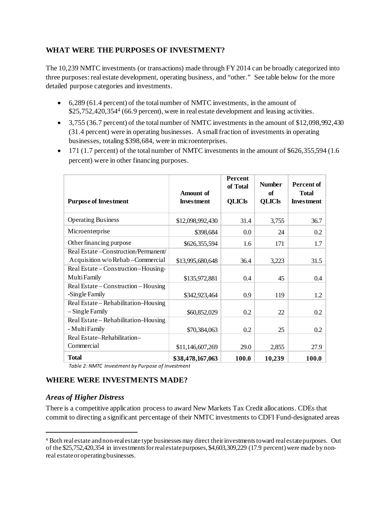### **WHAT WERE THE PURPOSES OF INVESTMENT?**

The 10,239 NMTC investments (or transactions) made through FY 2014 can be broadly categorized into three purposes: real estate development, operating business, and "other." See table below for the more detailed purpose categories and investments.

- 6,289 (61.4 percent) of the total number of NMTC investments, in the amount of \$25,752,420,354[4](#page-2-0) (66.9 percent), were in real estate development and leasing activities.
- 3,755 (36.7 percent) of the total number of NMTC investments in the amount of \$12,098,992,430 (31.4 percent) were in operating businesses. A small fraction of investments in operating businesses, totaling \$398,684, were in microenterprises.
- 171 (1.7 percent) of the total number of NMTC investments in the amount of \$626,355,594 (1.6) percent) were in other financing purposes.

| <b>Purpose of Investment</b>          | <b>Amount of</b><br><b>Investment</b> | Percent<br>of Total<br><b>QLICIS</b> | <b>Number</b><br>of<br><b>QLICIS</b> | <b>Percent of</b><br><b>Total</b><br><b>Investment</b> |
|---------------------------------------|---------------------------------------|--------------------------------------|--------------------------------------|--------------------------------------------------------|
| <b>Operating Business</b>             | \$12,098,992,430                      | 31.4                                 | 3,755                                | 36.7                                                   |
| Microenterprise                       | \$398,684                             | 0.0                                  | 24                                   | 0.2                                                    |
| Other financing purpose               | \$626,355,594                         | 1.6                                  | 171                                  | 1.7                                                    |
| Real Estate - Construction/Permanent/ |                                       |                                      |                                      |                                                        |
| Acquisition w/oRehab – Commercial     | \$13,995,680,648                      | 36.4                                 | 3,223                                | 31.5                                                   |
| Real Estate - Construction-Housing-   |                                       |                                      |                                      |                                                        |
| Multi Family                          | \$135,972,881                         | 0.4                                  | 45                                   | 0.4                                                    |
| Real Estate – Construction – Housing  |                                       |                                      |                                      |                                                        |
| -Single Family                        | \$342,923,464                         | 0.9                                  | 119                                  | 1.2                                                    |
| Real Estate – Rehabilitation–Housing  |                                       |                                      |                                      |                                                        |
| - Single Family                       | \$60,852,029                          | 0.2                                  | 22                                   | 0.2                                                    |
| Real Estate – Rehabilitation–Housing  |                                       |                                      |                                      |                                                        |
| - Multi Family                        | \$70,384,063                          | 0.2                                  | 25                                   | 0.2                                                    |
| Real Estate-Rehabilitation-           |                                       |                                      |                                      |                                                        |
| Commercial                            | \$11,146,607,269                      | 29.0                                 | 2,855                                | 27.9                                                   |
| <b>Total</b>                          | \$38,478,167,063                      | 100.0                                | 10,239                               | 100.0                                                  |

*Table 2: NMTC Investment by Purpose of Investment*

### **WHERE WERE INVESTMENTS MADE?**

#### *Areas of Higher Distress*

There is a competitive application process to award New Markets Tax Credit allocations. CDEs that commit to directing a significant percentage of their NMTC investments to CDFI Fund-designated areas

<span id="page-2-0"></span> <sup>4</sup> Both real estate and non-real estate type businesses may direct their investments toward real estate purposes. Out of the \$25,752,420,354 in investments for real estate purposes, \$4,603,309,229 (17.9 percent) were made by nonreal estate or operating businesses.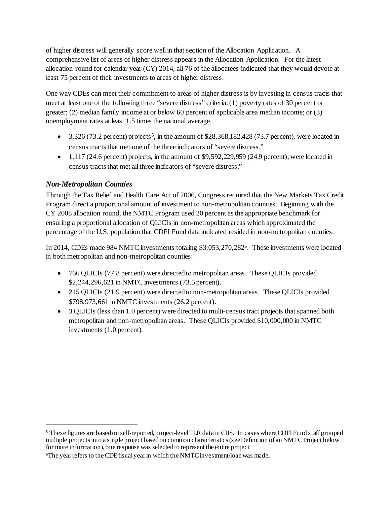of higher distress will generally score well in that section of the Allocation Application. A comprehensive list of areas of higher distress appears in the Allocation Application. For the latest allocation round for calendar year (CY) 2014, all 76 of the allocatees indicated that they would devote at least 75 percent of their investments to areas of higher distress.

One way CDEs can meet their commitment to areas of higher distress is by investing in census tracts that meet at least one of the following three "severe distress" criteria: (1) poverty rates of 30 percent or greater; (2) median family income at or below 60 percent of applicable area median income; or (3) unemployment rates at least 1.5 times the national average.

- $3,326$  (73.2 percent) projects<sup>5</sup>, in the amount of \$28,368,182,428 (73.7 percent), were located in census tracts that met one of the three indicators of "severe distress."
- $\bullet$  1,117 (24.6 percent) projects, in the amount of \$9,592,229,959 (24.9 percent), were located in census tracts that met all three indicators of "severe distress."

## *Non-Metropolitan Counties*

Through the Tax Relief and Health Care Act of 2006, Congress required that the New Markets Tax Credit Program direct a proportional amount of investment to non-metropolitan counties. Beginning with the CY 2008 allocation round, the NMTC Program used 20 percent as the appropriate benchmark for ensuring a proportional allocation of QLICIs in non-metropolitan areas which approximated the percentage of the U.S. population that CDFI Fund data indicated resided in non-metropolitan counties.

In 2014, CDEs made 984 NMTC investments totaling \$3,053,270,282<sup>[6](#page-3-1)</sup>. These investments were located in both metropolitan and non-metropolitan counties:

- 766 QLICIs (77.8 percent) were directed to metropolitan areas. These QLICIs provided \$2,244,296,621 in NMTC investments (73.5 percent).
- 215 OLICIs (21.9 percent) were directed to non-metropolitan areas. These OLICIs provided \$798,973,661 in NMTC investments (26.2 percent).
- 3 QLICIs (less than 1.0 percent) were directed to multi-census tract projects that spanned both metropolitan and non-metropolitan areas. These QLICIs provided \$10,000,000 in NMTC investments (1.0 percent).

<span id="page-3-0"></span> <sup>5</sup> These figures are based on self-reported, project-level TLR data in CIIS. In cases where CDFI Fund staff grouped multiple projects into a single project based on common characteristics (see Definition of an NMTC Project below for more information), one response was selected to represent the entire project.

<span id="page-3-1"></span><sup>6</sup> The year refers to the CDE fiscal year in which the NMTC investment/loan was made.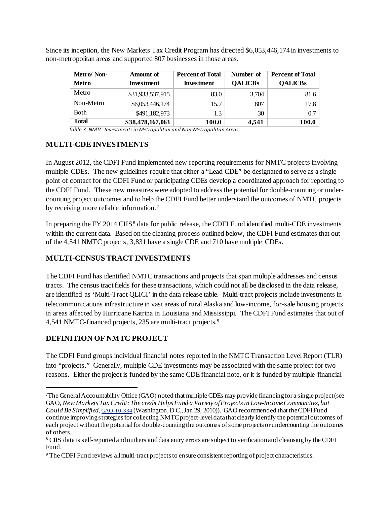Since its inception, the New Markets Tax Credit Program has directed \$6,053,446,174 in investments to non-metropolitan areas and supported 807 businesses in those areas.

| Metro/Non-<br>Metro | <b>Amount</b> of<br><b>Investment</b> | <b>Percent of Total</b><br><b>Investment</b> | Number of<br><b>QALICBs</b> | <b>Percent of Total</b><br><b>QALICBs</b> |
|---------------------|---------------------------------------|----------------------------------------------|-----------------------------|-------------------------------------------|
| Metro               | \$31,933,537,915                      | 83.0                                         | 3,704                       | 81.6                                      |
| Non-Metro           | \$6,053,446,174                       | 15.7                                         | 807                         | 17.8                                      |
| Both                | \$491,182,973                         | 1.3                                          | 30                          | 0.7                                       |
| <b>Total</b>        | \$38,478,167,063                      | 100.0                                        | 4,541                       | 100.0                                     |

*Table 3: NMTC Investments in Metropolitan and Non-Metropolitan Areas*

#### **MULTI-CDE INVESTMENTS**

In August 2012, the CDFI Fund implemented new reporting requirements for NMTC projects involving multiple CDEs. The new guidelines require that either a "Lead CDE" be designated to serve as a single point of contact for the CDFI Fund or participating CDEs develop a coordinated approach for reporting to the CDFI Fund. These new measures were adopted to address the potential for double-counting or undercounting project outcomes and to help the CDFI Fund better understand the outcomes of NMTC projects by receiving more reliable information. [7](#page-4-0)

In preparing the FY 2014 CIIS<sup>[8](#page-4-1)</sup> data for public release, the CDFI Fund identified multi-CDE investments within the current data. Based on the cleaning process outlined below, the CDFI Fund estimates that out of the 4,541 NMTC projects, 3,831 have a single CDE and 710 have multiple CDEs.

# **MULTI-CENSUS TRACT INVESTMENTS**

The CDFI Fund has identified NMTC transactions and projects that span multiple addresses and census tracts. The census tract fields for these transactions, which could not all be disclosed in the data release, are identified as 'Multi-Tract QLICI' in the data release table. Multi-tract projects include investments in telecommunications infrastructure in vast areas of rural Alaska and low-income, for-sale housing projects in areas affected by Hurricane Katrina in Louisiana and Mississippi. The CDFI Fund estimates that out of 4,541 NMTC-financed projects, 235 are multi-tract projects.[9](#page-4-2)

# **DEFINITION OF NMTC PROJECT**

The CDFI Fund groups individual financial notes reported in the NMTC Transaction Level Report (TLR) into "projects." Generally, multiple CDE investments may be associated with the same project for two reasons. Either the project is funded by the same CDE financial note, or it is funded by multiple financial

<span id="page-4-0"></span><sup>-&</sup>lt;br>7 The General Accountability Office (GAO) noted that multiple CDEs may provide financing for a single project (see GAO, *New Markets Tax Credit: The credit Helps Fund a Variety of Projects in Low-Income Communities, but Could Be Simplified*[, GAO-10-334](http://www.gao.gov/products/GAO-10-334) (Washington, D.C., Jan 29, 2010)). GAO recommended that the CDFI Fund continue improving strategies for collecting NMTC project-level data that clearly identify the potential outcomes of each project without the potential for double-counting the outcomes of some projects or undercounting the outcomes of others.

<span id="page-4-1"></span><sup>8</sup> CIIS data is self-reported and outliers and data entry errors are subject to verification and cleansing by the CDFI Fund.

<span id="page-4-2"></span><sup>9</sup> The CDFI Fund reviews all multi-tract projects to ensure consistent reporting of project characteristics.